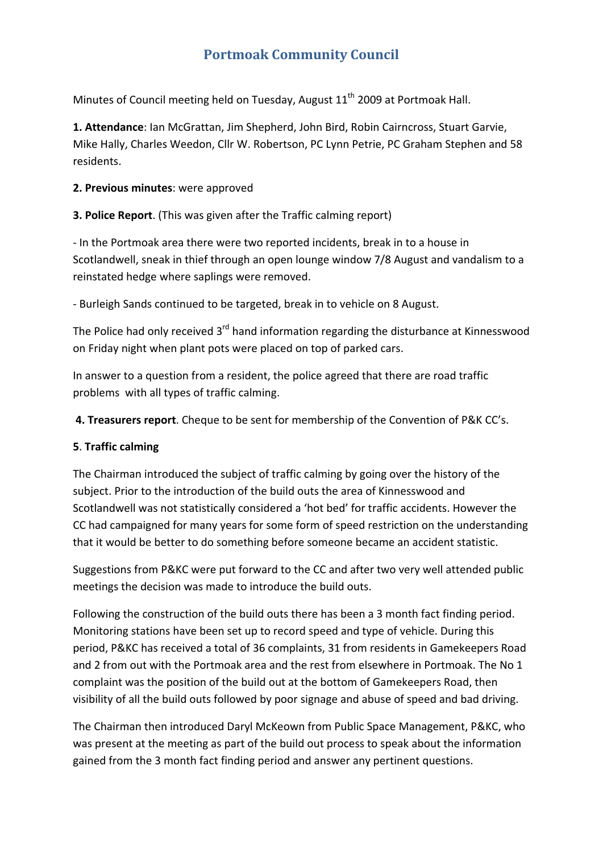# **Portmoak Community Council**

Minutes of Council meeting held on Tuesday, August 11<sup>th</sup> 2009 at Portmoak Hall.

**1. Attendance**: Ian McGrattan, Jim Shepherd, John Bird, Robin Cairncross, Stuart Garvie, Mike Hally, Charles Weedon, Cllr W. Robertson, PC Lynn Petrie, PC Graham Stephen and 58 residents.

#### **2. Previous minutes**: were approved

**3. Police Report**. (This was given after the Traffic calming report)

‐ In the Portmoak area there were two reported incidents, break in to a house in Scotlandwell, sneak in thief through an open lounge window 7/8 August and vandalism to a reinstated hedge where saplings were removed.

‐ Burleigh Sands continued to be targeted, break in to vehicle on 8 August.

The Police had only received 3<sup>rd</sup> hand information regarding the disturbance at Kinnesswood on Friday night when plant pots were placed on top of parked cars.

In answer to a question from a resident, the police agreed that there are road traffic problems with all types of traffic calming.

**4. Treasurers report**. Cheque to be sent for membership of the Convention of P&K CC's.

#### **5**. **Traffic calming**

The Chairman introduced the subject of traffic calming by going over the history of the subject. Prior to the introduction of the build outs the area of Kinnesswood and Scotlandwell was not statistically considered a 'hot bed' for traffic accidents. However the CC had campaigned for many years for some form of speed restriction on the understanding that it would be better to do something before someone became an accident statistic.

Suggestions from P&KC were put forward to the CC and after two very well attended public meetings the decision was made to introduce the build outs.

Following the construction of the build outs there has been a 3 month fact finding period. Monitoring stations have been set up to record speed and type of vehicle. During this period, P&KC has received a total of 36 complaints, 31 from residents in Gamekeepers Road and 2 from out with the Portmoak area and the rest from elsewhere in Portmoak. The No 1 complaint was the position of the build out at the bottom of Gamekeepers Road, then visibility of all the build outs followed by poor signage and abuse of speed and bad driving.

The Chairman then introduced Daryl McKeown from Public Space Management, P&KC, who was present at the meeting as part of the build out process to speak about the information gained from the 3 month fact finding period and answer any pertinent questions.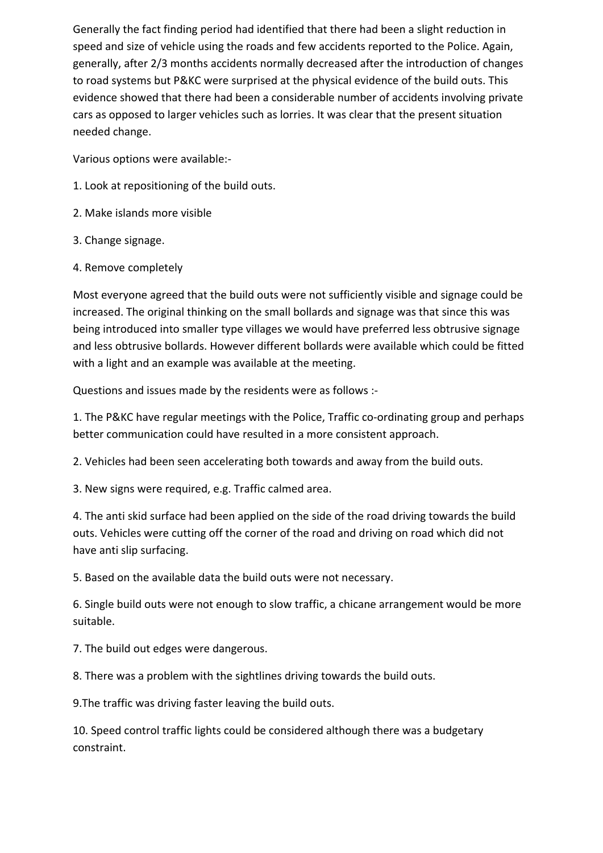Generally the fact finding period had identified that there had been a slight reduction in speed and size of vehicle using the roads and few accidents reported to the Police. Again, generally, after 2/3 months accidents normally decreased after the introduction of changes to road systems but P&KC were surprised at the physical evidence of the build outs. This evidence showed that there had been a considerable number of accidents involving private cars as opposed to larger vehicles such as lorries. It was clear that the present situation needed change.

Various options were available:‐

- 1. Look at repositioning of the build outs.
- 2. Make islands more visible
- 3. Change signage.
- 4. Remove completely

Most everyone agreed that the build outs were not sufficiently visible and signage could be increased. The original thinking on the small bollards and signage was that since this was being introduced into smaller type villages we would have preferred less obtrusive signage and less obtrusive bollards. However different bollards were available which could be fitted with a light and an example was available at the meeting.

Questions and issues made by the residents were as follows :‐

1. The P&KC have regular meetings with the Police, Traffic co-ordinating group and perhaps better communication could have resulted in a more consistent approach.

2. Vehicles had been seen accelerating both towards and away from the build outs.

3. New signs were required, e.g. Traffic calmed area.

4. The anti skid surface had been applied on the side of the road driving towards the build outs. Vehicles were cutting off the corner of the road and driving on road which did not have anti slip surfacing.

5. Based on the available data the build outs were not necessary.

6. Single build outs were not enough to slow traffic, a chicane arrangement would be more suitable.

7. The build out edges were dangerous.

8. There was a problem with the sightlines driving towards the build outs.

9.The traffic was driving faster leaving the build outs.

10. Speed control traffic lights could be considered although there was a budgetary constraint.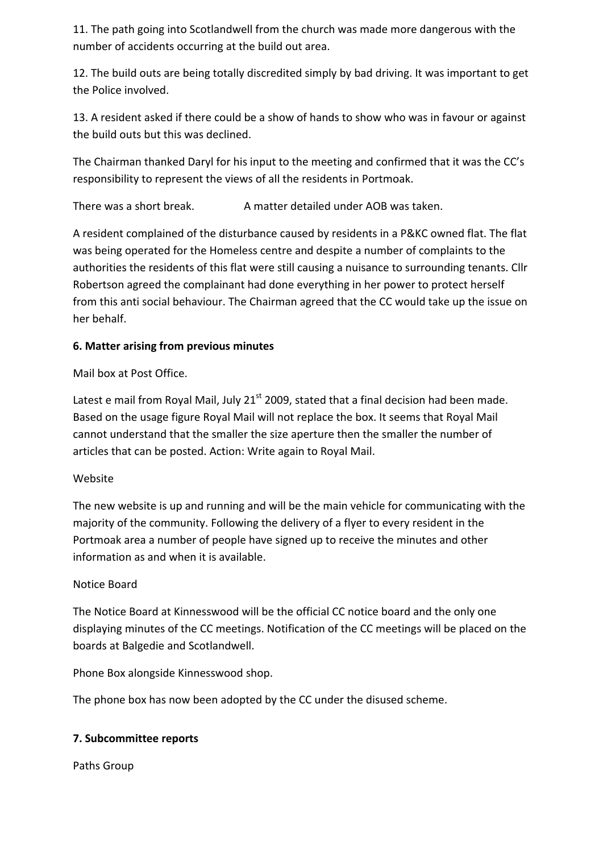11. The path going into Scotlandwell from the church was made more dangerous with the number of accidents occurring at the build out area.

12. The build outs are being totally discredited simply by bad driving. It was important to get the Police involved.

13. A resident asked if there could be a show of hands to show who was in favour or against the build outs but this was declined.

The Chairman thanked Daryl for his input to the meeting and confirmed that it was the CC's responsibility to represent the views of all the residents in Portmoak.

There was a short break. A matter detailed under AOB was taken.

A resident complained of the disturbance caused by residents in a P&KC owned flat. The flat was being operated for the Homeless centre and despite a number of complaints to the authorities the residents of this flat were still causing a nuisance to surrounding tenants. Cllr Robertson agreed the complainant had done everything in her power to protect herself from this anti social behaviour. The Chairman agreed that the CC would take up the issue on her behalf.

# **6. Matter arising from previous minutes**

Mail box at Post Office.

Latest e mail from Royal Mail, July  $21<sup>st</sup>$  2009, stated that a final decision had been made. Based on the usage figure Royal Mail will not replace the box. It seems that Royal Mail cannot understand that the smaller the size aperture then the smaller the number of articles that can be posted. Action: Write again to Royal Mail.

#### Website

The new website is up and running and will be the main vehicle for communicating with the majority of the community. Following the delivery of a flyer to every resident in the Portmoak area a number of people have signed up to receive the minutes and other information as and when it is available.

#### Notice Board

The Notice Board at Kinnesswood will be the official CC notice board and the only one displaying minutes of the CC meetings. Notification of the CC meetings will be placed on the boards at Balgedie and Scotlandwell.

Phone Box alongside Kinnesswood shop.

The phone box has now been adopted by the CC under the disused scheme.

#### **7. Subcommittee reports**

Paths Group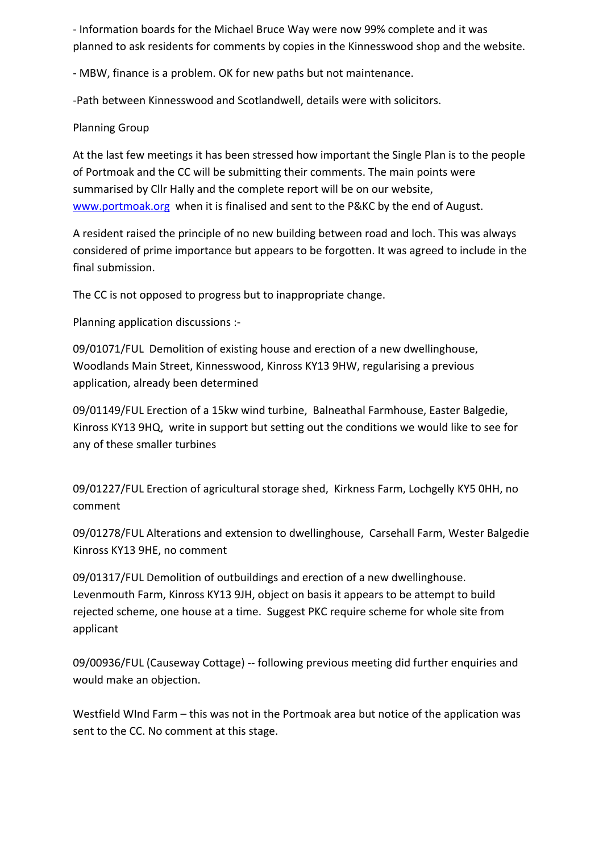‐ Information boards for the Michael Bruce Way were now 99% complete and it was planned to ask residents for comments by copies in the Kinnesswood shop and the website.

‐ MBW, finance is a problem. OK for new paths but not maintenance.

‐Path between Kinnesswood and Scotlandwell, details were with solicitors.

## Planning Group

At the last few meetings it has been stressed how important the Single Plan is to the people of Portmoak and the CC will be submitting their comments. The main points were summarised by Cllr Hally and the complete report will be on our website, www.portmoak.org when it is finalised and sent to the P&KC by the end of August.

A resident raised the principle of no new building between road and loch. This was always considered of prime importance but appears to be forgotten. It was agreed to include in the final submission.

The CC is not opposed to progress but to inappropriate change.

Planning application discussions :‐

09/01071/FUL Demolition of existing house and erection of a new dwellinghouse, Woodlands Main Street, Kinnesswood, Kinross KY13 9HW, regularising a previous application, already been determined

09/01149/FUL Erection of a 15kw wind turbine, Balneathal Farmhouse, Easter Balgedie, Kinross KY13 9HQ, write in support but setting out the conditions we would like to see for any of these smaller turbines

09/01227/FUL Erection of agricultural storage shed, Kirkness Farm, Lochgelly KY5 0HH, no comment

09/01278/FUL Alterations and extension to dwellinghouse, Carsehall Farm, Wester Balgedie Kinross KY13 9HE, no comment

09/01317/FUL Demolition of outbuildings and erection of a new dwellinghouse. Levenmouth Farm, Kinross KY13 9JH, object on basis it appears to be attempt to build rejected scheme, one house at a time. Suggest PKC require scheme for whole site from applicant

09/00936/FUL (Causeway Cottage) ‐‐ following previous meeting did further enquiries and would make an objection.

Westfield WInd Farm – this was not in the Portmoak area but notice of the application was sent to the CC. No comment at this stage.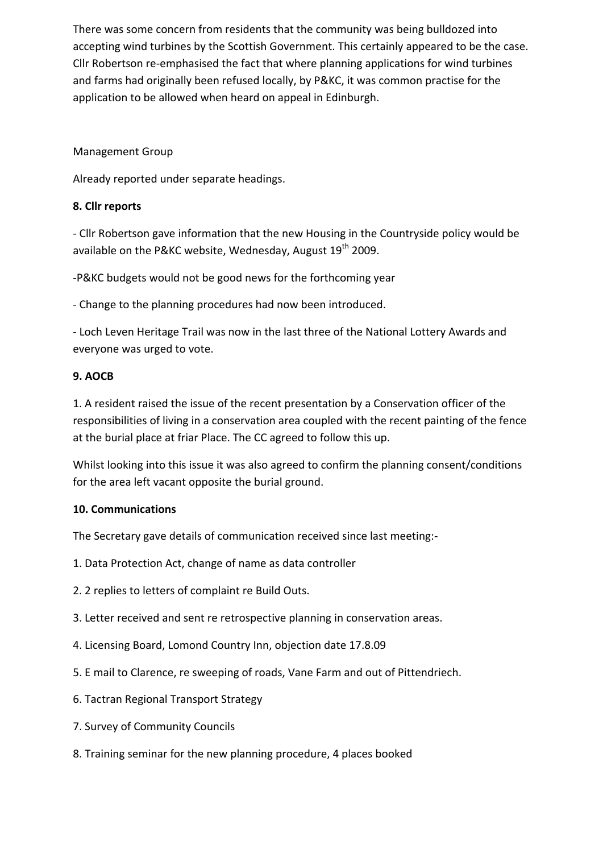There was some concern from residents that the community was being bulldozed into accepting wind turbines by the Scottish Government. This certainly appeared to be the case. Cllr Robertson re‐emphasised the fact that where planning applications for wind turbines and farms had originally been refused locally, by P&KC, it was common practise for the application to be allowed when heard on appeal in Edinburgh.

# Management Group

Already reported under separate headings.

## **8. Cllr reports**

‐ Cllr Robertson gave information that the new Housing in the Countryside policy would be available on the P&KC website, Wednesday, August  $19<sup>th</sup>$  2009.

‐P&KC budgets would not be good news for the forthcoming year

‐ Change to the planning procedures had now been introduced.

‐ Loch Leven Heritage Trail was now in the last three of the National Lottery Awards and everyone was urged to vote.

# **9. AOCB**

1. A resident raised the issue of the recent presentation by a Conservation officer of the responsibilities of living in a conservation area coupled with the recent painting of the fence at the burial place at friar Place. The CC agreed to follow this up.

Whilst looking into this issue it was also agreed to confirm the planning consent/conditions for the area left vacant opposite the burial ground.

#### **10. Communications**

The Secretary gave details of communication received since last meeting:‐

- 1. Data Protection Act, change of name as data controller
- 2. 2 replies to letters of complaint re Build Outs.
- 3. Letter received and sent re retrospective planning in conservation areas.
- 4. Licensing Board, Lomond Country Inn, objection date 17.8.09
- 5. E mail to Clarence, re sweeping of roads, Vane Farm and out of Pittendriech.
- 6. Tactran Regional Transport Strategy
- 7. Survey of Community Councils
- 8. Training seminar for the new planning procedure, 4 places booked